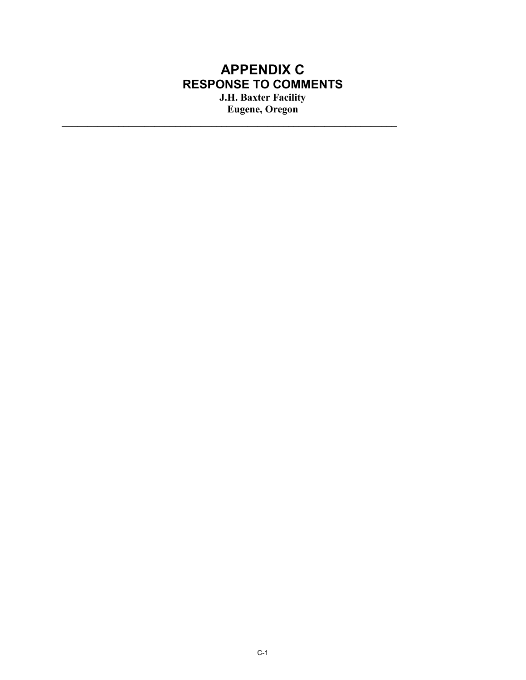## **APPENDIX C RESPONSE TO COMMENTS J.H. Baxter Facility Eugene, Oregon**

**\_\_\_\_\_\_\_\_\_\_\_\_\_\_\_\_\_\_\_\_\_\_\_\_\_\_\_\_\_\_\_\_\_\_\_\_\_\_\_\_\_\_\_\_\_\_\_\_\_\_\_\_\_\_\_\_\_\_\_\_\_\_\_\_\_**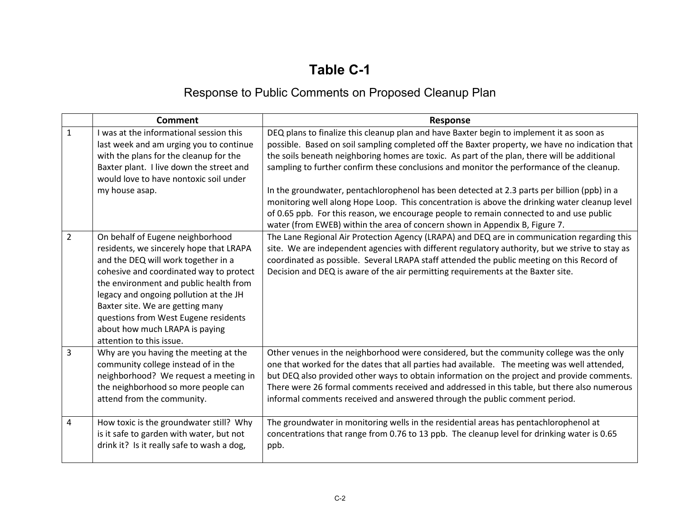## **Table C-1**

## Response to Public Comments on Proposed Cleanup Plan

|                | <b>Comment</b>                                                                                                                                                                                                                                                                                                                                                                              | <b>Response</b>                                                                                                                                                                                                                                                                                                                                                                                                                                                                                                                                                                                                                                                                                                                                                   |
|----------------|---------------------------------------------------------------------------------------------------------------------------------------------------------------------------------------------------------------------------------------------------------------------------------------------------------------------------------------------------------------------------------------------|-------------------------------------------------------------------------------------------------------------------------------------------------------------------------------------------------------------------------------------------------------------------------------------------------------------------------------------------------------------------------------------------------------------------------------------------------------------------------------------------------------------------------------------------------------------------------------------------------------------------------------------------------------------------------------------------------------------------------------------------------------------------|
| $\mathbf{1}$   | I was at the informational session this<br>last week and am urging you to continue<br>with the plans for the cleanup for the<br>Baxter plant. I live down the street and<br>would love to have nontoxic soil under<br>my house asap.                                                                                                                                                        | DEQ plans to finalize this cleanup plan and have Baxter begin to implement it as soon as<br>possible. Based on soil sampling completed off the Baxter property, we have no indication that<br>the soils beneath neighboring homes are toxic. As part of the plan, there will be additional<br>sampling to further confirm these conclusions and monitor the performance of the cleanup.<br>In the groundwater, pentachlorophenol has been detected at 2.3 parts per billion (ppb) in a<br>monitoring well along Hope Loop. This concentration is above the drinking water cleanup level<br>of 0.65 ppb. For this reason, we encourage people to remain connected to and use public<br>water (from EWEB) within the area of concern shown in Appendix B, Figure 7. |
| $\overline{2}$ | On behalf of Eugene neighborhood<br>residents, we sincerely hope that LRAPA<br>and the DEQ will work together in a<br>cohesive and coordinated way to protect<br>the environment and public health from<br>legacy and ongoing pollution at the JH<br>Baxter site. We are getting many<br>questions from West Eugene residents<br>about how much LRAPA is paying<br>attention to this issue. | The Lane Regional Air Protection Agency (LRAPA) and DEQ are in communication regarding this<br>site. We are independent agencies with different regulatory authority, but we strive to stay as<br>coordinated as possible. Several LRAPA staff attended the public meeting on this Record of<br>Decision and DEQ is aware of the air permitting requirements at the Baxter site.                                                                                                                                                                                                                                                                                                                                                                                  |
| 3              | Why are you having the meeting at the<br>community college instead of in the<br>neighborhood? We request a meeting in<br>the neighborhood so more people can<br>attend from the community.                                                                                                                                                                                                  | Other venues in the neighborhood were considered, but the community college was the only<br>one that worked for the dates that all parties had available. The meeting was well attended,<br>but DEQ also provided other ways to obtain information on the project and provide comments.<br>There were 26 formal comments received and addressed in this table, but there also numerous<br>informal comments received and answered through the public comment period.                                                                                                                                                                                                                                                                                              |
| 4              | How toxic is the groundwater still? Why<br>is it safe to garden with water, but not<br>drink it? Is it really safe to wash a dog,                                                                                                                                                                                                                                                           | The groundwater in monitoring wells in the residential areas has pentachlorophenol at<br>concentrations that range from 0.76 to 13 ppb. The cleanup level for drinking water is 0.65<br>ppb.                                                                                                                                                                                                                                                                                                                                                                                                                                                                                                                                                                      |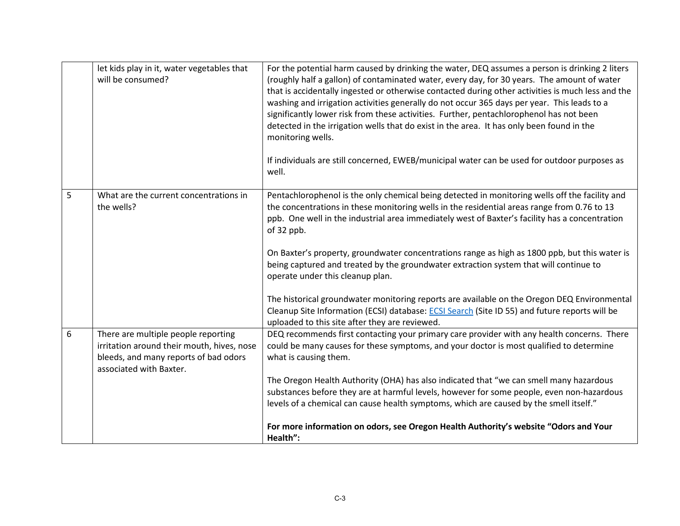|   | let kids play in it, water vegetables that<br>will be consumed?                                                                                       | For the potential harm caused by drinking the water, DEQ assumes a person is drinking 2 liters<br>(roughly half a gallon) of contaminated water, every day, for 30 years. The amount of water<br>that is accidentally ingested or otherwise contacted during other activities is much less and the<br>washing and irrigation activities generally do not occur 365 days per year. This leads to a<br>significantly lower risk from these activities. Further, pentachlorophenol has not been<br>detected in the irrigation wells that do exist in the area. It has only been found in the<br>monitoring wells.<br>If individuals are still concerned, EWEB/municipal water can be used for outdoor purposes as<br>well.                                                                       |
|---|-------------------------------------------------------------------------------------------------------------------------------------------------------|-----------------------------------------------------------------------------------------------------------------------------------------------------------------------------------------------------------------------------------------------------------------------------------------------------------------------------------------------------------------------------------------------------------------------------------------------------------------------------------------------------------------------------------------------------------------------------------------------------------------------------------------------------------------------------------------------------------------------------------------------------------------------------------------------|
| 5 | What are the current concentrations in<br>the wells?                                                                                                  | Pentachlorophenol is the only chemical being detected in monitoring wells off the facility and<br>the concentrations in these monitoring wells in the residential areas range from 0.76 to 13<br>ppb. One well in the industrial area immediately west of Baxter's facility has a concentration<br>of 32 ppb.<br>On Baxter's property, groundwater concentrations range as high as 1800 ppb, but this water is<br>being captured and treated by the groundwater extraction system that will continue to<br>operate under this cleanup plan.<br>The historical groundwater monitoring reports are available on the Oregon DEQ Environmental<br>Cleanup Site Information (ECSI) database: ECSI Search (Site ID 55) and future reports will be<br>uploaded to this site after they are reviewed. |
| 6 | There are multiple people reporting<br>irritation around their mouth, hives, nose<br>bleeds, and many reports of bad odors<br>associated with Baxter. | DEQ recommends first contacting your primary care provider with any health concerns. There<br>could be many causes for these symptoms, and your doctor is most qualified to determine<br>what is causing them.<br>The Oregon Health Authority (OHA) has also indicated that "we can smell many hazardous                                                                                                                                                                                                                                                                                                                                                                                                                                                                                      |
|   |                                                                                                                                                       | substances before they are at harmful levels, however for some people, even non-hazardous<br>levels of a chemical can cause health symptoms, which are caused by the smell itself."<br>For more information on odors, see Oregon Health Authority's website "Odors and Your<br>Health":                                                                                                                                                                                                                                                                                                                                                                                                                                                                                                       |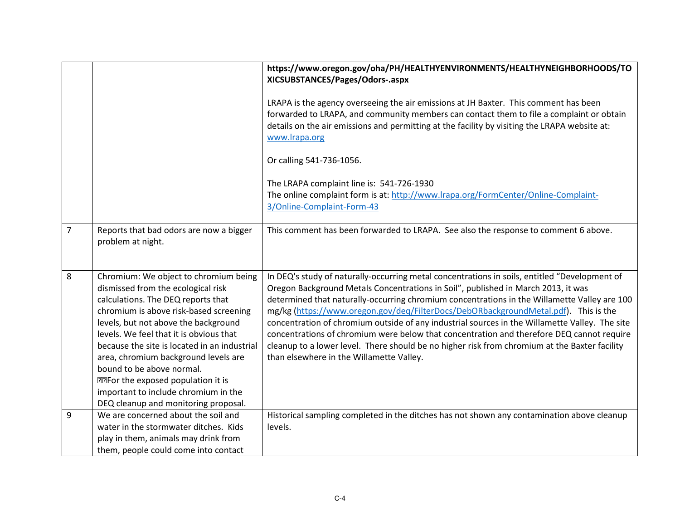|                |                                                                                                                                                                                                                                                                                                                                                                                                                                                                                                  | https://www.oregon.gov/oha/PH/HEALTHYENVIRONMENTS/HEALTHYNEIGHBORHOODS/TO<br>XICSUBSTANCES/Pages/Odors-.aspx                                                                                                                                                                                                                                                                                                                                                                                                                                                                                                                                                                                                          |
|----------------|--------------------------------------------------------------------------------------------------------------------------------------------------------------------------------------------------------------------------------------------------------------------------------------------------------------------------------------------------------------------------------------------------------------------------------------------------------------------------------------------------|-----------------------------------------------------------------------------------------------------------------------------------------------------------------------------------------------------------------------------------------------------------------------------------------------------------------------------------------------------------------------------------------------------------------------------------------------------------------------------------------------------------------------------------------------------------------------------------------------------------------------------------------------------------------------------------------------------------------------|
|                |                                                                                                                                                                                                                                                                                                                                                                                                                                                                                                  | LRAPA is the agency overseeing the air emissions at JH Baxter. This comment has been<br>forwarded to LRAPA, and community members can contact them to file a complaint or obtain<br>details on the air emissions and permitting at the facility by visiting the LRAPA website at:<br>www.lrapa.org                                                                                                                                                                                                                                                                                                                                                                                                                    |
|                |                                                                                                                                                                                                                                                                                                                                                                                                                                                                                                  | Or calling 541-736-1056.                                                                                                                                                                                                                                                                                                                                                                                                                                                                                                                                                                                                                                                                                              |
|                |                                                                                                                                                                                                                                                                                                                                                                                                                                                                                                  | The LRAPA complaint line is: 541-726-1930<br>The online complaint form is at: http://www.lrapa.org/FormCenter/Online-Complaint-<br>3/Online-Complaint-Form-43                                                                                                                                                                                                                                                                                                                                                                                                                                                                                                                                                         |
| $\overline{7}$ | Reports that bad odors are now a bigger<br>problem at night.                                                                                                                                                                                                                                                                                                                                                                                                                                     | This comment has been forwarded to LRAPA. See also the response to comment 6 above.                                                                                                                                                                                                                                                                                                                                                                                                                                                                                                                                                                                                                                   |
| 8              | Chromium: We object to chromium being<br>dismissed from the ecological risk<br>calculations. The DEQ reports that<br>chromium is above risk-based screening<br>levels, but not above the background<br>levels. We feel that it is obvious that<br>because the site is located in an industrial<br>area, chromium background levels are<br>bound to be above normal.<br><b>PPFor the exposed population it is</b><br>important to include chromium in the<br>DEQ cleanup and monitoring proposal. | In DEQ's study of naturally-occurring metal concentrations in soils, entitled "Development of<br>Oregon Background Metals Concentrations in Soil", published in March 2013, it was<br>determined that naturally-occurring chromium concentrations in the Willamette Valley are 100<br>mg/kg (https://www.oregon.gov/deq/FilterDocs/DebORbackgroundMetal.pdf). This is the<br>concentration of chromium outside of any industrial sources in the Willamette Valley. The site<br>concentrations of chromium were below that concentration and therefore DEQ cannot require<br>cleanup to a lower level. There should be no higher risk from chromium at the Baxter facility<br>than elsewhere in the Willamette Valley. |
| 9              | We are concerned about the soil and<br>water in the stormwater ditches. Kids<br>play in them, animals may drink from<br>them, people could come into contact                                                                                                                                                                                                                                                                                                                                     | Historical sampling completed in the ditches has not shown any contamination above cleanup<br>levels.                                                                                                                                                                                                                                                                                                                                                                                                                                                                                                                                                                                                                 |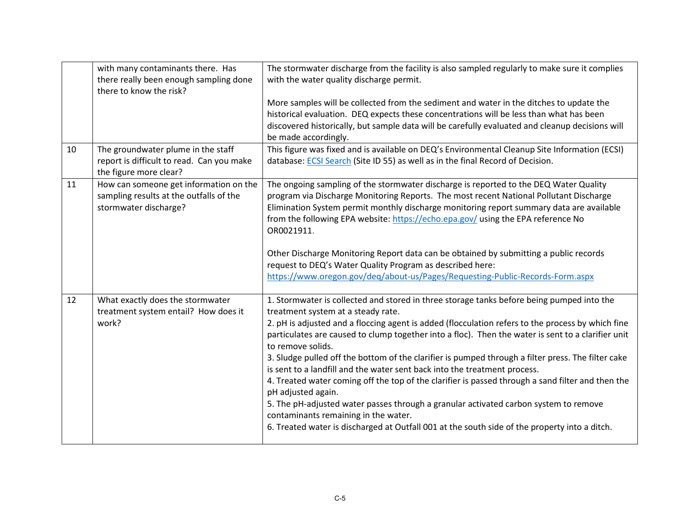| 10 | with many contaminants there. Has<br>there really been enough sampling done<br>there to know the risk?<br>The groundwater plume in the staff | The stormwater discharge from the facility is also sampled regularly to make sure it complies<br>with the water quality discharge permit.<br>More samples will be collected from the sediment and water in the ditches to update the<br>historical evaluation. DEQ expects these concentrations will be less than what has been<br>discovered historically, but sample data will be carefully evaluated and cleanup decisions will<br>be made accordingly.<br>This figure was fixed and is available on DEQ's Environmental Cleanup Site Information (ECSI)                                                                                                                                                                                                                                                                                                                                                    |
|----|----------------------------------------------------------------------------------------------------------------------------------------------|----------------------------------------------------------------------------------------------------------------------------------------------------------------------------------------------------------------------------------------------------------------------------------------------------------------------------------------------------------------------------------------------------------------------------------------------------------------------------------------------------------------------------------------------------------------------------------------------------------------------------------------------------------------------------------------------------------------------------------------------------------------------------------------------------------------------------------------------------------------------------------------------------------------|
|    | report is difficult to read. Can you make<br>the figure more clear?                                                                          | database: ECSI Search (Site ID 55) as well as in the final Record of Decision.                                                                                                                                                                                                                                                                                                                                                                                                                                                                                                                                                                                                                                                                                                                                                                                                                                 |
| 11 | How can someone get information on the<br>sampling results at the outfalls of the<br>stormwater discharge?                                   | The ongoing sampling of the stormwater discharge is reported to the DEQ Water Quality<br>program via Discharge Monitoring Reports. The most recent National Pollutant Discharge<br>Elimination System permit monthly discharge monitoring report summary data are available<br>from the following EPA website: https://echo.epa.gov/ using the EPA reference No<br>OR0021911.                                                                                                                                                                                                                                                                                                                                                                                                                                                                                                                                  |
|    |                                                                                                                                              | Other Discharge Monitoring Report data can be obtained by submitting a public records<br>request to DEQ's Water Quality Program as described here:<br>https://www.oregon.gov/deq/about-us/Pages/Requesting-Public-Records-Form.aspx                                                                                                                                                                                                                                                                                                                                                                                                                                                                                                                                                                                                                                                                            |
| 12 | What exactly does the stormwater<br>treatment system entail? How does it<br>work?                                                            | 1. Stormwater is collected and stored in three storage tanks before being pumped into the<br>treatment system at a steady rate.<br>2. pH is adjusted and a floccing agent is added (flocculation refers to the process by which fine<br>particulates are caused to clump together into a floc). Then the water is sent to a clarifier unit<br>to remove solids.<br>3. Sludge pulled off the bottom of the clarifier is pumped through a filter press. The filter cake<br>is sent to a landfill and the water sent back into the treatment process.<br>4. Treated water coming off the top of the clarifier is passed through a sand filter and then the<br>pH adjusted again.<br>5. The pH-adjusted water passes through a granular activated carbon system to remove<br>contaminants remaining in the water.<br>6. Treated water is discharged at Outfall 001 at the south side of the property into a ditch. |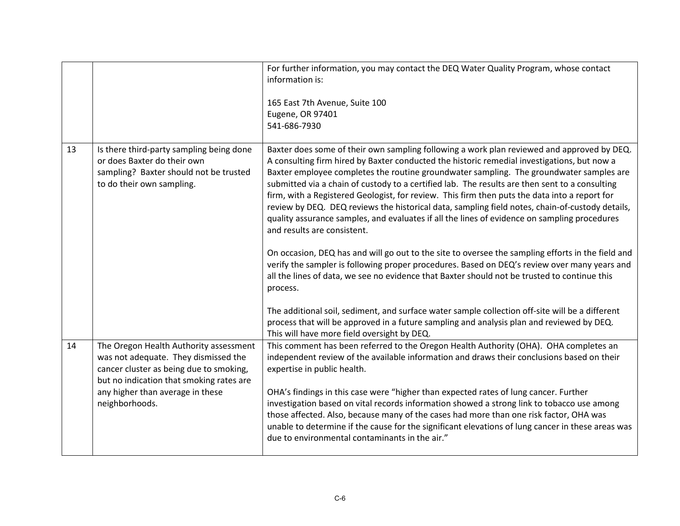|    |                                                                                                                                                                       | For further information, you may contact the DEQ Water Quality Program, whose contact<br>information is:<br>165 East 7th Avenue, Suite 100<br>Eugene, OR 97401<br>541-686-7930                                                                                                                                                                                                                                                                                                                                                                                                                                                                                                                                                                                                                                                                                                                                                                                                                                                                                                                                                                |
|----|-----------------------------------------------------------------------------------------------------------------------------------------------------------------------|-----------------------------------------------------------------------------------------------------------------------------------------------------------------------------------------------------------------------------------------------------------------------------------------------------------------------------------------------------------------------------------------------------------------------------------------------------------------------------------------------------------------------------------------------------------------------------------------------------------------------------------------------------------------------------------------------------------------------------------------------------------------------------------------------------------------------------------------------------------------------------------------------------------------------------------------------------------------------------------------------------------------------------------------------------------------------------------------------------------------------------------------------|
| 13 | Is there third-party sampling being done<br>or does Baxter do their own<br>sampling? Baxter should not be trusted<br>to do their own sampling.                        | Baxter does some of their own sampling following a work plan reviewed and approved by DEQ.<br>A consulting firm hired by Baxter conducted the historic remedial investigations, but now a<br>Baxter employee completes the routine groundwater sampling. The groundwater samples are<br>submitted via a chain of custody to a certified lab. The results are then sent to a consulting<br>firm, with a Registered Geologist, for review. This firm then puts the data into a report for<br>review by DEQ. DEQ reviews the historical data, sampling field notes, chain-of-custody details,<br>quality assurance samples, and evaluates if all the lines of evidence on sampling procedures<br>and results are consistent.<br>On occasion, DEQ has and will go out to the site to oversee the sampling efforts in the field and<br>verify the sampler is following proper procedures. Based on DEQ's review over many years and<br>all the lines of data, we see no evidence that Baxter should not be trusted to continue this<br>process.<br>The additional soil, sediment, and surface water sample collection off-site will be a different |
|    |                                                                                                                                                                       | process that will be approved in a future sampling and analysis plan and reviewed by DEQ.<br>This will have more field oversight by DEQ.                                                                                                                                                                                                                                                                                                                                                                                                                                                                                                                                                                                                                                                                                                                                                                                                                                                                                                                                                                                                      |
| 14 | The Oregon Health Authority assessment<br>was not adequate. They dismissed the<br>cancer cluster as being due to smoking,<br>but no indication that smoking rates are | This comment has been referred to the Oregon Health Authority (OHA). OHA completes an<br>independent review of the available information and draws their conclusions based on their<br>expertise in public health.                                                                                                                                                                                                                                                                                                                                                                                                                                                                                                                                                                                                                                                                                                                                                                                                                                                                                                                            |
|    | any higher than average in these<br>neighborhoods.                                                                                                                    | OHA's findings in this case were "higher than expected rates of lung cancer. Further<br>investigation based on vital records information showed a strong link to tobacco use among<br>those affected. Also, because many of the cases had more than one risk factor, OHA was<br>unable to determine if the cause for the significant elevations of lung cancer in these areas was<br>due to environmental contaminants in the air."                                                                                                                                                                                                                                                                                                                                                                                                                                                                                                                                                                                                                                                                                                           |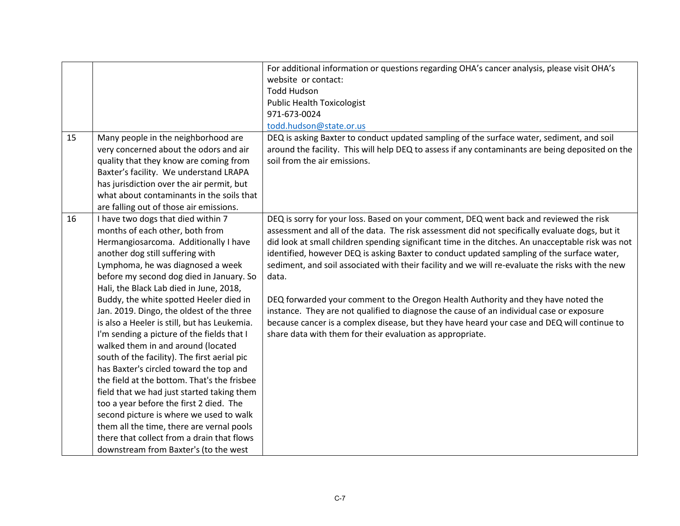|    |                                              | For additional information or questions regarding OHA's cancer analysis, please visit OHA's       |
|----|----------------------------------------------|---------------------------------------------------------------------------------------------------|
|    |                                              | website or contact:                                                                               |
|    |                                              | <b>Todd Hudson</b>                                                                                |
|    |                                              | <b>Public Health Toxicologist</b>                                                                 |
|    |                                              | 971-673-0024                                                                                      |
|    |                                              | todd.hudson@state.or.us                                                                           |
| 15 | Many people in the neighborhood are          | DEQ is asking Baxter to conduct updated sampling of the surface water, sediment, and soil         |
|    | very concerned about the odors and air       | around the facility. This will help DEQ to assess if any contaminants are being deposited on the  |
|    | quality that they know are coming from       | soil from the air emissions.                                                                      |
|    | Baxter's facility. We understand LRAPA       |                                                                                                   |
|    | has jurisdiction over the air permit, but    |                                                                                                   |
|    | what about contaminants in the soils that    |                                                                                                   |
|    | are falling out of those air emissions.      |                                                                                                   |
| 16 | I have two dogs that died within 7           | DEQ is sorry for your loss. Based on your comment, DEQ went back and reviewed the risk            |
|    | months of each other, both from              | assessment and all of the data. The risk assessment did not specifically evaluate dogs, but it    |
|    | Hermangiosarcoma. Additionally I have        | did look at small children spending significant time in the ditches. An unacceptable risk was not |
|    | another dog still suffering with             | identified, however DEQ is asking Baxter to conduct updated sampling of the surface water,        |
|    | Lymphoma, he was diagnosed a week            | sediment, and soil associated with their facility and we will re-evaluate the risks with the new  |
|    | before my second dog died in January. So     | data.                                                                                             |
|    | Hali, the Black Lab died in June, 2018,      |                                                                                                   |
|    | Buddy, the white spotted Heeler died in      | DEQ forwarded your comment to the Oregon Health Authority and they have noted the                 |
|    | Jan. 2019. Dingo, the oldest of the three    | instance. They are not qualified to diagnose the cause of an individual case or exposure          |
|    | is also a Heeler is still, but has Leukemia. | because cancer is a complex disease, but they have heard your case and DEQ will continue to       |
|    | I'm sending a picture of the fields that I   | share data with them for their evaluation as appropriate.                                         |
|    | walked them in and around (located           |                                                                                                   |
|    | south of the facility). The first aerial pic |                                                                                                   |
|    | has Baxter's circled toward the top and      |                                                                                                   |
|    | the field at the bottom. That's the frisbee  |                                                                                                   |
|    | field that we had just started taking them   |                                                                                                   |
|    | too a year before the first 2 died. The      |                                                                                                   |
|    | second picture is where we used to walk      |                                                                                                   |
|    | them all the time, there are vernal pools    |                                                                                                   |
|    | there that collect from a drain that flows   |                                                                                                   |
|    | downstream from Baxter's (to the west        |                                                                                                   |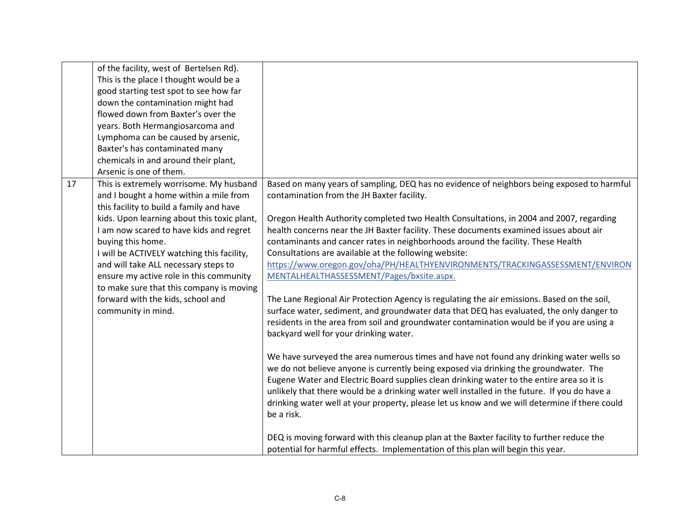|    | of the facility, west of Bertelsen Rd).<br>This is the place I thought would be a<br>good starting test spot to see how far<br>down the contamination might had<br>flowed down from Baxter's over the<br>years. Both Hermangiosarcoma and<br>Lymphoma can be caused by arsenic,                                                                     |                                                                                                                                                                                                                                                                                                                                                                                                                                                                                                                                                                                                                                                                                                                                                                                               |
|----|-----------------------------------------------------------------------------------------------------------------------------------------------------------------------------------------------------------------------------------------------------------------------------------------------------------------------------------------------------|-----------------------------------------------------------------------------------------------------------------------------------------------------------------------------------------------------------------------------------------------------------------------------------------------------------------------------------------------------------------------------------------------------------------------------------------------------------------------------------------------------------------------------------------------------------------------------------------------------------------------------------------------------------------------------------------------------------------------------------------------------------------------------------------------|
|    | Baxter's has contaminated many<br>chemicals in and around their plant,<br>Arsenic is one of them.                                                                                                                                                                                                                                                   |                                                                                                                                                                                                                                                                                                                                                                                                                                                                                                                                                                                                                                                                                                                                                                                               |
| 17 | This is extremely worrisome. My husband<br>and I bought a home within a mile from<br>this facility to build a family and have                                                                                                                                                                                                                       | Based on many years of sampling, DEQ has no evidence of neighbors being exposed to harmful<br>contamination from the JH Baxter facility.                                                                                                                                                                                                                                                                                                                                                                                                                                                                                                                                                                                                                                                      |
|    | kids. Upon learning about this toxic plant,<br>I am now scared to have kids and regret<br>buying this home.<br>I will be ACTIVELY watching this facility,<br>and will take ALL necessary steps to<br>ensure my active role in this community<br>to make sure that this company is moving<br>forward with the kids, school and<br>community in mind. | Oregon Health Authority completed two Health Consultations, in 2004 and 2007, regarding<br>health concerns near the JH Baxter facility. These documents examined issues about air<br>contaminants and cancer rates in neighborhoods around the facility. These Health<br>Consultations are available at the following website:<br>https://www.oregon.gov/oha/PH/HEALTHYENVIRONMENTS/TRACKINGASSESSMENT/ENVIRON<br>MENTALHEALTHASSESSMENT/Pages/bxsite.aspx.<br>The Lane Regional Air Protection Agency is regulating the air emissions. Based on the soil,<br>surface water, sediment, and groundwater data that DEQ has evaluated, the only danger to<br>residents in the area from soil and groundwater contamination would be if you are using a<br>backyard well for your drinking water. |
|    |                                                                                                                                                                                                                                                                                                                                                     | We have surveyed the area numerous times and have not found any drinking water wells so<br>we do not believe anyone is currently being exposed via drinking the groundwater. The<br>Eugene Water and Electric Board supplies clean drinking water to the entire area so it is<br>unlikely that there would be a drinking water well installed in the future. If you do have a<br>drinking water well at your property, please let us know and we will determine if there could<br>be a risk.                                                                                                                                                                                                                                                                                                  |
|    |                                                                                                                                                                                                                                                                                                                                                     | DEQ is moving forward with this cleanup plan at the Baxter facility to further reduce the<br>potential for harmful effects. Implementation of this plan will begin this year.                                                                                                                                                                                                                                                                                                                                                                                                                                                                                                                                                                                                                 |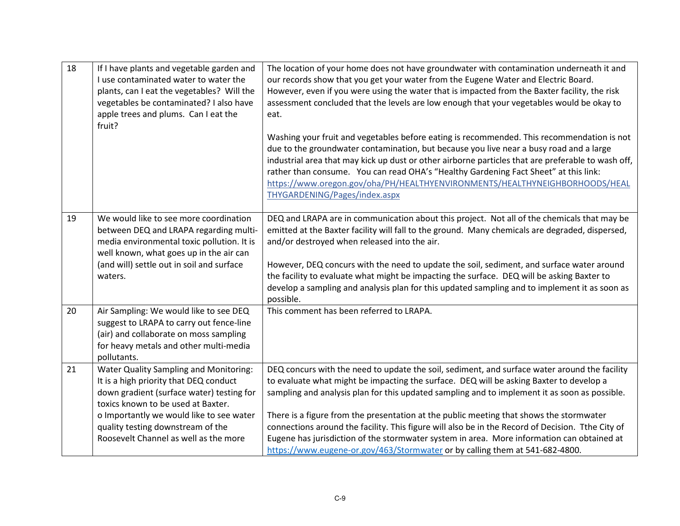| 18 | If I have plants and vegetable garden and<br>I use contaminated water to water the<br>plants, can I eat the vegetables? Will the<br>vegetables be contaminated? I also have<br>apple trees and plums. Can I eat the<br>fruit?                                                                        | The location of your home does not have groundwater with contamination underneath it and<br>our records show that you get your water from the Eugene Water and Electric Board.<br>However, even if you were using the water that is impacted from the Baxter facility, the risk<br>assessment concluded that the levels are low enough that your vegetables would be okay to<br>eat.<br>Washing your fruit and vegetables before eating is recommended. This recommendation is not<br>due to the groundwater contamination, but because you live near a busy road and a large<br>industrial area that may kick up dust or other airborne particles that are preferable to wash off,<br>rather than consume. You can read OHA's "Healthy Gardening Fact Sheet" at this link:<br>https://www.oregon.gov/oha/PH/HEALTHYENVIRONMENTS/HEALTHYNEIGHBORHOODS/HEAL<br>THYGARDENING/Pages/index.aspx |
|----|------------------------------------------------------------------------------------------------------------------------------------------------------------------------------------------------------------------------------------------------------------------------------------------------------|---------------------------------------------------------------------------------------------------------------------------------------------------------------------------------------------------------------------------------------------------------------------------------------------------------------------------------------------------------------------------------------------------------------------------------------------------------------------------------------------------------------------------------------------------------------------------------------------------------------------------------------------------------------------------------------------------------------------------------------------------------------------------------------------------------------------------------------------------------------------------------------------|
| 19 | We would like to see more coordination<br>between DEQ and LRAPA regarding multi-<br>media environmental toxic pollution. It is<br>well known, what goes up in the air can<br>(and will) settle out in soil and surface<br>waters.                                                                    | DEQ and LRAPA are in communication about this project. Not all of the chemicals that may be<br>emitted at the Baxter facility will fall to the ground. Many chemicals are degraded, dispersed,<br>and/or destroyed when released into the air.<br>However, DEQ concurs with the need to update the soil, sediment, and surface water around<br>the facility to evaluate what might be impacting the surface. DEQ will be asking Baxter to<br>develop a sampling and analysis plan for this updated sampling and to implement it as soon as<br>possible.                                                                                                                                                                                                                                                                                                                                     |
| 20 | Air Sampling: We would like to see DEQ<br>suggest to LRAPA to carry out fence-line<br>(air) and collaborate on moss sampling<br>for heavy metals and other multi-media<br>pollutants.                                                                                                                | This comment has been referred to LRAPA.                                                                                                                                                                                                                                                                                                                                                                                                                                                                                                                                                                                                                                                                                                                                                                                                                                                    |
| 21 | <b>Water Quality Sampling and Monitoring:</b><br>It is a high priority that DEQ conduct<br>down gradient (surface water) testing for<br>toxics known to be used at Baxter.<br>o Importantly we would like to see water<br>quality testing downstream of the<br>Roosevelt Channel as well as the more | DEQ concurs with the need to update the soil, sediment, and surface water around the facility<br>to evaluate what might be impacting the surface. DEQ will be asking Baxter to develop a<br>sampling and analysis plan for this updated sampling and to implement it as soon as possible.<br>There is a figure from the presentation at the public meeting that shows the stormwater<br>connections around the facility. This figure will also be in the Record of Decision. Tthe City of<br>Eugene has jurisdiction of the stormwater system in area. More information can obtained at<br>https://www.eugene-or.gov/463/Stormwater or by calling them at 541-682-4800.                                                                                                                                                                                                                     |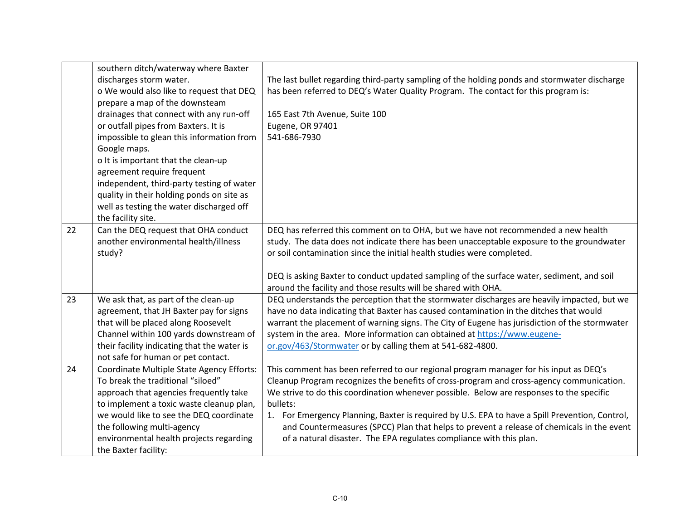|    | southern ditch/waterway where Baxter        |                                                                                                   |
|----|---------------------------------------------|---------------------------------------------------------------------------------------------------|
|    | discharges storm water.                     | The last bullet regarding third-party sampling of the holding ponds and stormwater discharge      |
|    | o We would also like to request that DEQ    | has been referred to DEQ's Water Quality Program. The contact for this program is:                |
|    | prepare a map of the downsteam              |                                                                                                   |
|    | drainages that connect with any run-off     | 165 East 7th Avenue, Suite 100                                                                    |
|    | or outfall pipes from Baxters. It is        | Eugene, OR 97401                                                                                  |
|    | impossible to glean this information from   | 541-686-7930                                                                                      |
|    | Google maps.                                |                                                                                                   |
|    | o It is important that the clean-up         |                                                                                                   |
|    | agreement require frequent                  |                                                                                                   |
|    | independent, third-party testing of water   |                                                                                                   |
|    | quality in their holding ponds on site as   |                                                                                                   |
|    | well as testing the water discharged off    |                                                                                                   |
|    | the facility site.                          |                                                                                                   |
| 22 | Can the DEQ request that OHA conduct        | DEQ has referred this comment on to OHA, but we have not recommended a new health                 |
|    | another environmental health/illness        | study. The data does not indicate there has been unacceptable exposure to the groundwater         |
|    | study?                                      | or soil contamination since the initial health studies were completed.                            |
|    |                                             |                                                                                                   |
|    |                                             | DEQ is asking Baxter to conduct updated sampling of the surface water, sediment, and soil         |
|    |                                             | around the facility and those results will be shared with OHA.                                    |
| 23 | We ask that, as part of the clean-up        | DEQ understands the perception that the stormwater discharges are heavily impacted, but we        |
|    | agreement, that JH Baxter pay for signs     | have no data indicating that Baxter has caused contamination in the ditches that would            |
|    | that will be placed along Roosevelt         | warrant the placement of warning signs. The City of Eugene has jurisdiction of the stormwater     |
|    | Channel within 100 yards downstream of      | system in the area. More information can obtained at https://www.eugene-                          |
|    | their facility indicating that the water is | or.gov/463/Stormwater or by calling them at 541-682-4800.                                         |
|    | not safe for human or pet contact.          |                                                                                                   |
| 24 | Coordinate Multiple State Agency Efforts:   | This comment has been referred to our regional program manager for his input as DEQ's             |
|    | To break the traditional "siloed"           | Cleanup Program recognizes the benefits of cross-program and cross-agency communication.          |
|    | approach that agencies frequently take      | We strive to do this coordination whenever possible. Below are responses to the specific          |
|    | to implement a toxic waste cleanup plan,    | bullets:                                                                                          |
|    | we would like to see the DEQ coordinate     | For Emergency Planning, Baxter is required by U.S. EPA to have a Spill Prevention, Control,<br>1. |
|    | the following multi-agency                  | and Countermeasures (SPCC) Plan that helps to prevent a release of chemicals in the event         |
|    | environmental health projects regarding     | of a natural disaster. The EPA regulates compliance with this plan.                               |
|    | the Baxter facility:                        |                                                                                                   |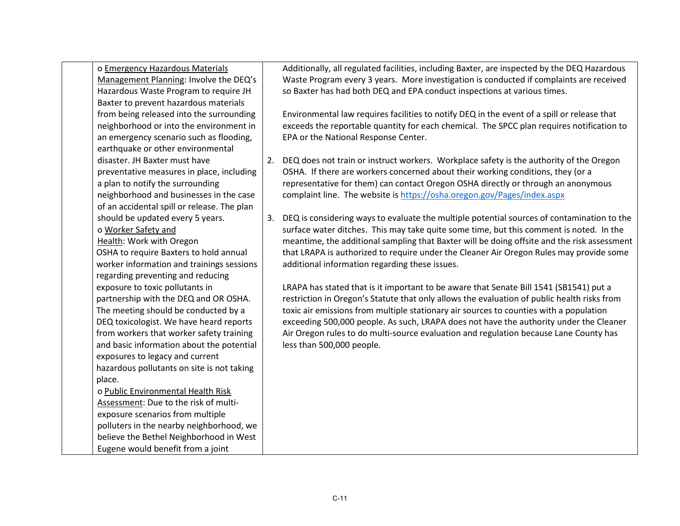| o Emergency Hazardous Materials             |    | Additionally, all regulated facilities, including Baxter, are inspected by the DEQ Hazardous |
|---------------------------------------------|----|----------------------------------------------------------------------------------------------|
| Management Planning: Involve the DEQ's      |    | Waste Program every 3 years. More investigation is conducted if complaints are received      |
| Hazardous Waste Program to require JH       |    | so Baxter has had both DEQ and EPA conduct inspections at various times.                     |
| Baxter to prevent hazardous materials       |    |                                                                                              |
| from being released into the surrounding    |    | Environmental law requires facilities to notify DEQ in the event of a spill or release that  |
| neighborhood or into the environment in     |    | exceeds the reportable quantity for each chemical. The SPCC plan requires notification to    |
| an emergency scenario such as flooding,     |    | EPA or the National Response Center.                                                         |
| earthquake or other environmental           |    |                                                                                              |
| disaster. JH Baxter must have               | 2. | DEQ does not train or instruct workers. Workplace safety is the authority of the Oregon      |
| preventative measures in place, including   |    | OSHA. If there are workers concerned about their working conditions, they (or a              |
| a plan to notify the surrounding            |    | representative for them) can contact Oregon OSHA directly or through an anonymous            |
| neighborhood and businesses in the case     |    | complaint line. The website is https://osha.oregon.gov/Pages/index.aspx                      |
| of an accidental spill or release. The plan |    |                                                                                              |
| should be updated every 5 years.            | 3. | DEQ is considering ways to evaluate the multiple potential sources of contamination to the   |
| o Worker Safety and                         |    | surface water ditches. This may take quite some time, but this comment is noted. In the      |
| Health: Work with Oregon                    |    | meantime, the additional sampling that Baxter will be doing offsite and the risk assessment  |
| OSHA to require Baxters to hold annual      |    | that LRAPA is authorized to require under the Cleaner Air Oregon Rules may provide some      |
| worker information and trainings sessions   |    | additional information regarding these issues.                                               |
| regarding preventing and reducing           |    |                                                                                              |
| exposure to toxic pollutants in             |    | LRAPA has stated that is it important to be aware that Senate Bill 1541 (SB1541) put a       |
| partnership with the DEQ and OR OSHA.       |    | restriction in Oregon's Statute that only allows the evaluation of public health risks from  |
| The meeting should be conducted by a        |    | toxic air emissions from multiple stationary air sources to counties with a population       |
| DEQ toxicologist. We have heard reports     |    | exceeding 500,000 people. As such, LRAPA does not have the authority under the Cleaner       |
| from workers that worker safety training    |    | Air Oregon rules to do multi-source evaluation and regulation because Lane County has        |
| and basic information about the potential   |    | less than 500,000 people.                                                                    |
| exposures to legacy and current             |    |                                                                                              |
| hazardous pollutants on site is not taking  |    |                                                                                              |
| place.                                      |    |                                                                                              |
| o Public Environmental Health Risk          |    |                                                                                              |
| Assessment: Due to the risk of multi-       |    |                                                                                              |
| exposure scenarios from multiple            |    |                                                                                              |
| polluters in the nearby neighborhood, we    |    |                                                                                              |
| believe the Bethel Neighborhood in West     |    |                                                                                              |
| Eugene would benefit from a joint           |    |                                                                                              |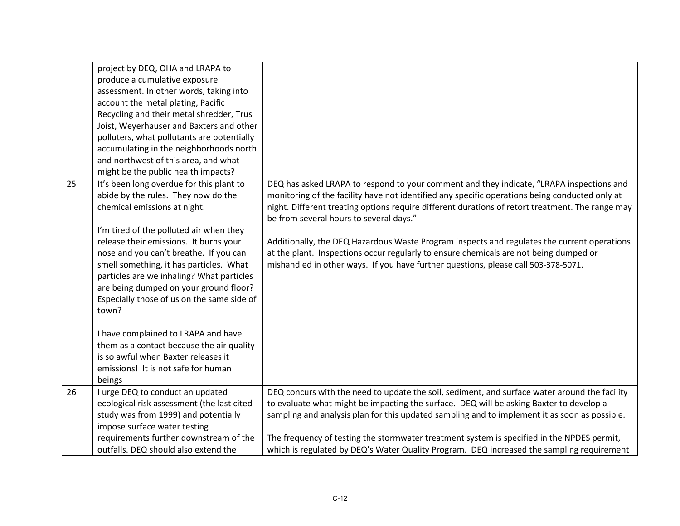|    | project by DEQ, OHA and LRAPA to           |                                                                                                  |
|----|--------------------------------------------|--------------------------------------------------------------------------------------------------|
|    | produce a cumulative exposure              |                                                                                                  |
|    | assessment. In other words, taking into    |                                                                                                  |
|    | account the metal plating, Pacific         |                                                                                                  |
|    | Recycling and their metal shredder, Trus   |                                                                                                  |
|    | Joist, Weyerhauser and Baxters and other   |                                                                                                  |
|    | polluters, what pollutants are potentially |                                                                                                  |
|    | accumulating in the neighborhoods north    |                                                                                                  |
|    | and northwest of this area, and what       |                                                                                                  |
|    | might be the public health impacts?        |                                                                                                  |
| 25 | It's been long overdue for this plant to   | DEQ has asked LRAPA to respond to your comment and they indicate, "LRAPA inspections and         |
|    | abide by the rules. They now do the        | monitoring of the facility have not identified any specific operations being conducted only at   |
|    | chemical emissions at night.               | night. Different treating options require different durations of retort treatment. The range may |
|    |                                            | be from several hours to several days."                                                          |
|    | I'm tired of the polluted air when they    |                                                                                                  |
|    | release their emissions. It burns your     | Additionally, the DEQ Hazardous Waste Program inspects and regulates the current operations      |
|    | nose and you can't breathe. If you can     | at the plant. Inspections occur regularly to ensure chemicals are not being dumped or            |
|    | smell something, it has particles. What    | mishandled in other ways. If you have further questions, please call 503-378-5071.               |
|    | particles are we inhaling? What particles  |                                                                                                  |
|    | are being dumped on your ground floor?     |                                                                                                  |
|    | Especially those of us on the same side of |                                                                                                  |
|    | town?                                      |                                                                                                  |
|    |                                            |                                                                                                  |
|    | I have complained to LRAPA and have        |                                                                                                  |
|    | them as a contact because the air quality  |                                                                                                  |
|    | is so awful when Baxter releases it        |                                                                                                  |
|    | emissions! It is not safe for human        |                                                                                                  |
|    | beings                                     |                                                                                                  |
| 26 | I urge DEQ to conduct an updated           | DEQ concurs with the need to update the soil, sediment, and surface water around the facility    |
|    | ecological risk assessment (the last cited | to evaluate what might be impacting the surface. DEQ will be asking Baxter to develop a          |
|    | study was from 1999) and potentially       | sampling and analysis plan for this updated sampling and to implement it as soon as possible.    |
|    | impose surface water testing               |                                                                                                  |
|    | requirements further downstream of the     | The frequency of testing the stormwater treatment system is specified in the NPDES permit,       |
|    | outfalls. DEQ should also extend the       | which is regulated by DEQ's Water Quality Program. DEQ increased the sampling requirement        |